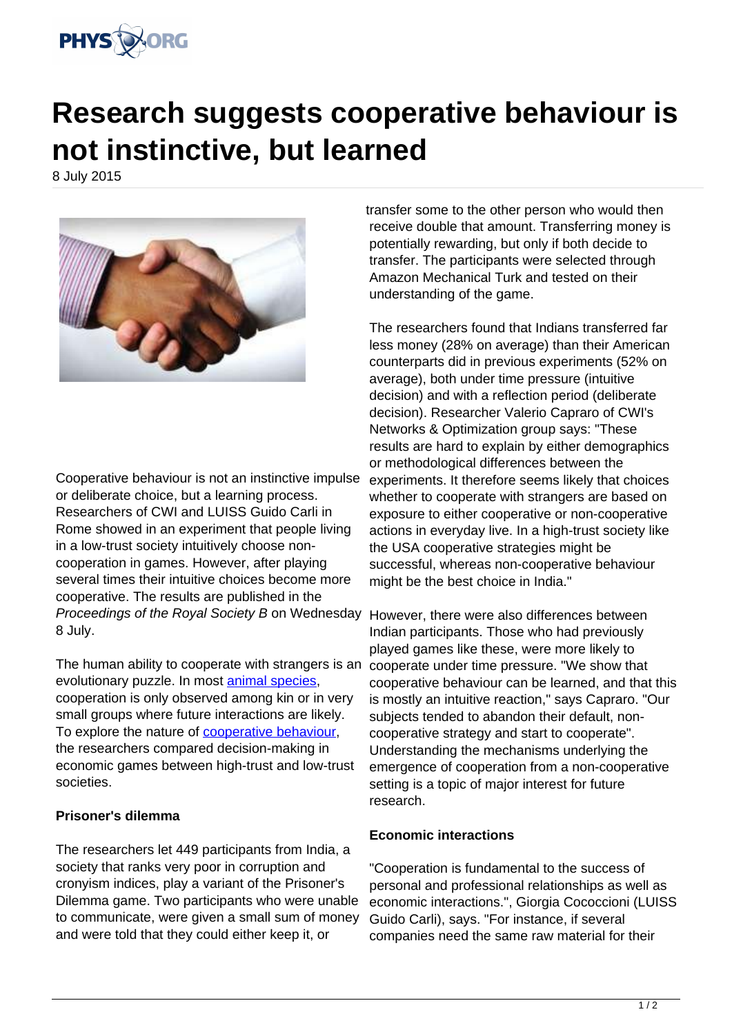

## **Research suggests cooperative behaviour is not instinctive, but learned**

8 July 2015



Cooperative behaviour is not an instinctive impulse or deliberate choice, but a learning process. Researchers of CWI and LUISS Guido Carli in Rome showed in an experiment that people living in a low-trust society intuitively choose noncooperation in games. However, after playing several times their intuitive choices become more cooperative. The results are published in the Proceedings of the Royal Society B on Wednesday 8 July.

The human ability to cooperate with strangers is an evolutionary puzzle. In most [animal species](http://phys.org/tags/animal+species/), cooperation is only observed among kin or in very small groups where future interactions are likely. To explore the nature of **cooperative behaviour**, the researchers compared decision-making in economic games between high-trust and low-trust societies.

## **Prisoner's dilemma**

The researchers let 449 participants from India, a society that ranks very poor in corruption and cronyism indices, play a variant of the Prisoner's Dilemma game. Two participants who were unable to communicate, were given a small sum of money and were told that they could either keep it, or

transfer some to the other person who would then receive double that amount. Transferring money is potentially rewarding, but only if both decide to transfer. The participants were selected through Amazon Mechanical Turk and tested on their understanding of the game.

The researchers found that Indians transferred far less money (28% on average) than their American counterparts did in previous experiments (52% on average), both under time pressure (intuitive decision) and with a reflection period (deliberate decision). Researcher Valerio Capraro of CWI's Networks & Optimization group says: "These results are hard to explain by either demographics or methodological differences between the experiments. It therefore seems likely that choices whether to cooperate with strangers are based on exposure to either cooperative or non-cooperative actions in everyday live. In a high-trust society like the USA cooperative strategies might be successful, whereas non-cooperative behaviour might be the best choice in India."

However, there were also differences between Indian participants. Those who had previously played games like these, were more likely to cooperate under time pressure. "We show that cooperative behaviour can be learned, and that this is mostly an intuitive reaction," says Capraro. "Our subjects tended to abandon their default, noncooperative strategy and start to cooperate". Understanding the mechanisms underlying the emergence of cooperation from a non-cooperative setting is a topic of major interest for future research.

## **Economic interactions**

"Cooperation is fundamental to the success of personal and professional relationships as well as economic interactions.", Giorgia Cococcioni (LUISS Guido Carli), says. "For instance, if several companies need the same raw material for their